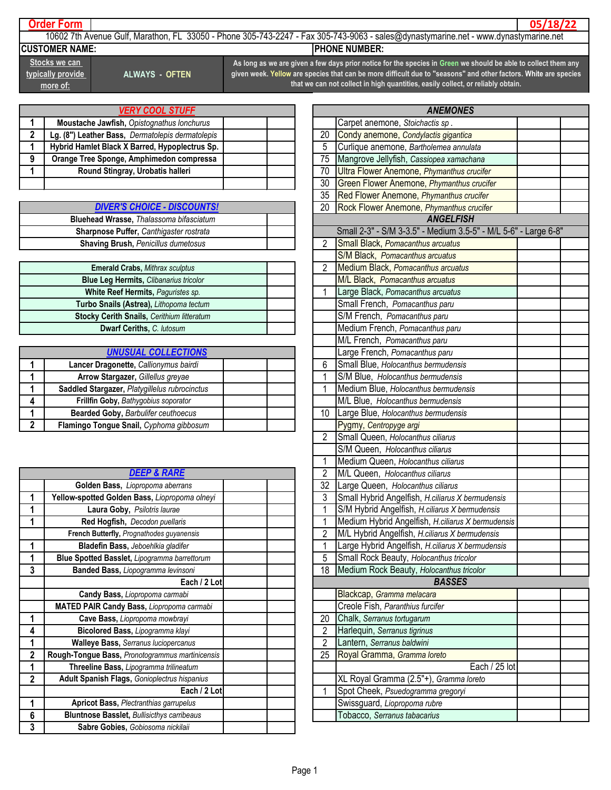## **Order Form**

**05/18/22**

10602 7th Avenue Gulf, Marathon, FL 33050 - Phone 305-743-2247 - Fax 305-743-9063 - sales@dynastymarine.net - www.dynastymarine.net **CUSTOMER NAME:** PHONE NUMBER:

**Stocks we can typically provide more of:**

**ALWAYS - OFTEN**

**As long as we are given a few days prior notice for the species in Green we should be able to collect them any given week. Yellow are species that can be more difficult due to "seasons" and other factors. White are species that we can not collect in high quantities, easily collect, or reliably obtain.**

| <b>VERY COOL STUFF</b> |                                                  |  |    |
|------------------------|--------------------------------------------------|--|----|
|                        | Moustache Jawfish, Opistognathus Ionchurus       |  |    |
|                        | Lg. (8") Leather Bass, Dermatolepis dermatolepis |  | 20 |
|                        | Hybrid Hamlet Black X Barred, Hypoplectrus Sp.   |  | 5  |
| g                      | Orange Tree Sponge, Amphimedon compressa         |  | 75 |
|                        | Round Stingray, Urobatis halleri                 |  | 70 |
|                        |                                                  |  | 30 |

| <b>DIVER'S CHOICE - DISCOUNTS!</b>             |  |
|------------------------------------------------|--|
| <b>Bluehead Wrasse, Thalassoma bifasciatum</b> |  |
| Sharpnose Puffer, Canthigaster rostrata        |  |
| <b>Shaving Brush, Penicillus dumetosus</b>     |  |

| <b>Emerald Crabs, Mithrax sculptus</b>            |  | <b>Medium Black, Pomacanthus arcuatus</b> |
|---------------------------------------------------|--|-------------------------------------------|
| <b>Blue Leg Hermits, Clibanarius tricolor</b>     |  | M/L Black, Pomacanthus arcuatus           |
| White Reef Hermits, Paguristes sp.                |  | Large Black, Pomacanthus arcuatus         |
| Turbo Snails (Astrea), Lithopoma tectum           |  | Small French, Pomacanthus paru            |
| <b>Stocky Cerith Snails, Cerithium litteratum</b> |  | S/M French, Pomacanthus paru              |
| Dwarf Ceriths, C. lutosum                         |  | Medium French, Pomacanthus paru           |

| <b>UNUSUAL COLLECTIONS</b>                    |  |
|-----------------------------------------------|--|
| Lancer Dragonette, Callionymus bairdi         |  |
| Arrow Stargazer, Gillellus greyae             |  |
| Saddled Stargazer, Platygillelus rubrocinctus |  |
| Frillfin Goby, Bathygobius soporator          |  |
| Bearded Goby, Barbulifer ceuthoecus           |  |
| Flamingo Tongue Snail, Cyphoma gibbosum       |  |

|              | <b>DEEP &amp; RARE</b>                              |  |
|--------------|-----------------------------------------------------|--|
|              | Golden Bass, Liopropoma aberrans                    |  |
|              | Yellow-spotted Golden Bass, Liopropoma olneyi       |  |
|              | Laura Goby, Psilotris laurae                        |  |
|              | Red Hogfish, Decodon puellaris                      |  |
|              | French Butterfly, Prognathodes guyanensis           |  |
| 1            | Bladefin Bass, Jeboehlkia gladifer                  |  |
|              | <b>Blue Spotted Basslet, Lipogramma barrettorum</b> |  |
| 3            | Banded Bass, Liopogramma levinsoni                  |  |
|              | Each / 2 Lot                                        |  |
|              | Candy Bass, Liopropoma carmabi                      |  |
|              | <b>MATED PAIR Candy Bass, Liopropoma carmabi</b>    |  |
| 1            | Cave Bass, Liopropoma mowbrayi                      |  |
| 4            | Bicolored Bass, Lipogramma klayi                    |  |
| 1            | <b>Walleye Bass, Serranus luciopercanus</b>         |  |
| $\mathbf{2}$ | Rough-Tongue Bass, Pronotogrammus martinicensis     |  |
| 1            | Threeline Bass, Lipogramma trilineatum              |  |
| $\mathbf 2$  | <b>Adult Spanish Flags, Gonioplectrus hispanius</b> |  |
|              | Each / 2 Lot                                        |  |
| 1            | <b>Apricot Bass, Plectranthias garrupelus</b>       |  |
| 6            | <b>Bluntnose Basslet, Bullisicthys carribeaus</b>   |  |
| 3            | Sabre Gobies, Gobiosoma nickilaii                   |  |

| <b>ANEMONES</b>                  |                                                                 |  |  |  |  |
|----------------------------------|-----------------------------------------------------------------|--|--|--|--|
|                                  | Carpet anemone, Stoichactis sp.                                 |  |  |  |  |
| 20                               | Condy anemone, Condylactis gigantica                            |  |  |  |  |
| 5                                | Curlique anemone, Bartholemea annulata                          |  |  |  |  |
| 75                               | Mangrove Jellyfish, Cassiopea xamachana                         |  |  |  |  |
| 70                               | Ultra Flower Anemone, Phymanthus crucifer                       |  |  |  |  |
| 30                               | Green Flower Anemone, Phymanthus crucifer                       |  |  |  |  |
| 35                               | Red Flower Anemone, Phymanthus crucifer                         |  |  |  |  |
| 20                               | Rock Flower Anemone, Phymanthus crucifer                        |  |  |  |  |
|                                  | <b>ANGELFISH</b>                                                |  |  |  |  |
|                                  | Small 2-3" - S/M 3-3.5" - Medium 3.5-5" - M/L 5-6" - Large 6-8" |  |  |  |  |
| $\overline{2}$                   | Small Black, Pomacanthus arcuatus                               |  |  |  |  |
|                                  | S/M Black, Pomacanthus arcuatus                                 |  |  |  |  |
| $\overline{2}$                   | Medium Black, Pomacanthus arcuatus                              |  |  |  |  |
|                                  | M/L Black, Pomacanthus arcuatus                                 |  |  |  |  |
| 1                                | Large Black, Pomacanthus arcuatus                               |  |  |  |  |
|                                  | Small French, Pomacanthus paru                                  |  |  |  |  |
|                                  | S/M French, Pomacanthus paru                                    |  |  |  |  |
|                                  | Medium French, Pomacanthus paru                                 |  |  |  |  |
|                                  | M/L French, Pomacanthus paru                                    |  |  |  |  |
|                                  | Large French, Pomacanthus paru                                  |  |  |  |  |
| 6                                | Small Blue, Holocanthus bermudensis                             |  |  |  |  |
| 1                                | S/M Blue, Holocanthus bermudensis                               |  |  |  |  |
| 1                                | Medium Blue, Holocanthus bermudensis                            |  |  |  |  |
|                                  | M/L Blue, Holocanthus bermudensis                               |  |  |  |  |
| 10                               | Large Blue, Holocanthus bermudensis                             |  |  |  |  |
|                                  | Pygmy, Centropyge argi                                          |  |  |  |  |
| $\overline{2}$                   | Small Queen, Holocanthus ciliarus                               |  |  |  |  |
|                                  | S/M Queen, Holocanthus ciliarus                                 |  |  |  |  |
| 1                                | Medium Queen, Holocanthus ciliarus                              |  |  |  |  |
| $\overline{2}$                   | M/L Queen, Holocanthus ciliarus                                 |  |  |  |  |
| 32                               | Large Queen, Holocanthus ciliarus                               |  |  |  |  |
| 3                                | Small Hybrid Angelfish, H.ciliarus X bermudensis                |  |  |  |  |
| $\overline{1}$                   | S/M Hybrid Angelfish, H.ciliarus X bermudensis                  |  |  |  |  |
| $\overline{1}$                   | Medium Hybrid Angelfish, H.ciliarus X bermudensis               |  |  |  |  |
| $\overline{2}$<br>$\overline{1}$ | M/L Hybrid Angelfish, H.ciliarus X bermudensis                  |  |  |  |  |
|                                  | Large Hybrid Angelfish, H.ciliarus X bermudensis                |  |  |  |  |
| 5                                | Small Rock Beauty, Holocanthus tricolor                         |  |  |  |  |
| 18                               | Medium Rock Beauty, Holocanthus tricolor<br><b>BASSES</b>       |  |  |  |  |
|                                  | Blackcap, Gramma melacara                                       |  |  |  |  |
|                                  | Creole Fish, Paranthius furcifer                                |  |  |  |  |
| 20                               | Chalk, Serranus tortugarum                                      |  |  |  |  |
| $\overline{\mathbf{c}}$          | Harlequin, Serranus tigrinus                                    |  |  |  |  |
| $\overline{2}$                   | Lantern, Serranus baldwini                                      |  |  |  |  |
| 25                               | Royal Gramma, Gramma loreto                                     |  |  |  |  |
|                                  | Each / 25 lot                                                   |  |  |  |  |
|                                  | XL Royal Gramma (2.5"+), Gramma loreto                          |  |  |  |  |
| 1                                | Spot Cheek, Psuedogramma gregoryi                               |  |  |  |  |
|                                  | Swissguard, Liopropoma rubre                                    |  |  |  |  |
|                                  | Tobacco, Serranus tabacarius                                    |  |  |  |  |
|                                  |                                                                 |  |  |  |  |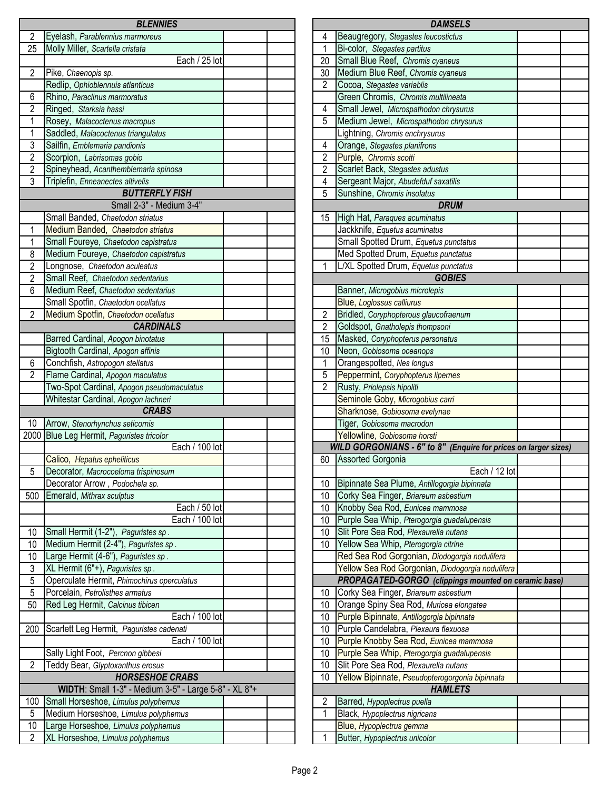|                | <b>BLENNIES</b>                                       |                |
|----------------|-------------------------------------------------------|----------------|
| 2              | Eyelash, Parablennius marmoreus                       | 4              |
| 25             | Molly Miller, Scartella cristata                      | $\overline{1}$ |
|                | Each / 25 lot                                         | 20             |
| $\overline{2}$ | Pike, Chaenopis sp.                                   | 30             |
|                | Redlip, Ophioblennuis atlanticus                      | $\overline{2}$ |
| 6              | Rhino, Paraclinus marmoratus                          |                |
| $\overline{2}$ | Ringed, Starksia hassi                                | 4              |
| 1              | Rosey, Malacoctenus macropus                          | $\overline{5}$ |
| $\overline{1}$ | Saddled, Malacoctenus triangulatus                    |                |
| $\overline{3}$ | Sailfin, Emblemaria pandionis                         | $\overline{4}$ |
| $\overline{2}$ | Scorpion, Labrisomas gobio                            | $\overline{2}$ |
| $\overline{2}$ | Spineyhead, Acanthemblemaria spinosa                  | $\frac{2}{4}$  |
| $\overline{3}$ | Triplefin, Enneanectes altivelis                      |                |
|                | <b>BUTTERFLY FISH</b>                                 | $\overline{5}$ |
|                | Small 2-3" - Medium 3-4"                              |                |
|                | Small Banded, Chaetodon striatus                      | 15             |
| 1              | Medium Banded, Chaetodon striatus                     |                |
| 1              | Small Foureye, Chaetodon capistratus                  |                |
| 8              | Medium Foureye, Chaetodon capistratus                 |                |
| $\overline{2}$ | Longnose, Chaetodon aculeatus                         | $\mathbf{1}$   |
| $\overline{2}$ | Small Reef, Chaetodon sedentarius                     |                |
| 6              | Medium Reef, Chaetodon sedentarius                    |                |
|                | Small Spotfin, Chaetodon ocellatus                    |                |
| 2              | Medium Spotfin, Chaetodon ocellatus                   |                |
|                | <b>CARDINALS</b>                                      | $\frac{2}{2}$  |
|                | Barred Cardinal, Apogon binotatus                     | 15             |
|                | Bigtooth Cardinal, Apogon affinis                     | 10             |
| 6              | Conchfish, Astropogon stellatus                       | $\mathbf{1}$   |
| $\overline{2}$ | Flame Cardinal, Apogon maculatus                      | $\overline{5}$ |
|                | Two-Spot Cardinal, Apogon pseudomaculatus             | $\overline{c}$ |
|                | Whitestar Cardinal, Apogon lachneri                   |                |
|                | <b>CRABS</b>                                          |                |
| 10             | Arrow, Stenorhynchus seticornis                       |                |
|                | 2000 Blue Leg Hermit, Paguristes tricolor             |                |
|                | Each / 100 lot                                        |                |
|                | Calico, Hepatus epheliticus                           | 60             |
| 5              | Decorator, Macrocoeloma trispinosum                   |                |
|                | Decorator Arrow, Podochela sp.                        | 10             |
| 500            | Emerald, Mithrax sculptus                             | 10             |
|                | Each / 50 lot                                         | 10             |
|                | Each / 100 lot                                        | 10             |
| 10             | Small Hermit (1-2"), Paguristes sp.                   | 10             |
| 10             | Medium Hermit (2-4"), Paguristes sp.                  | 10             |
| 10             | Large Hermit (4-6"), Paguristes sp.                   |                |
| 3              | XL Hermit (6"+), Paguristes sp.                       |                |
| 5              | Operculate Hermit, Phimochirus operculatus            |                |
| $\overline{5}$ | Porcelain, Petrolisthes armatus                       | 10             |
| 50             | Red Leg Hermit, Calcinus tibicen                      | 10             |
|                | Each / 100 lot                                        | 10             |
| 200            | Scarlett Leg Hermit, Paguristes cadenati              | 10             |
|                | Each / 100 lot                                        | 10             |
|                | Sally Light Foot, Percnon gibbesi                     | 10             |
| $\overline{2}$ | Teddy Bear, Glyptoxanthus erosus                      | 10             |
|                | <b>HORSESHOE CRABS</b>                                | 10             |
|                | WIDTH: Small 1-3" - Medium 3-5" - Large 5-8" - XL 8"+ |                |
| 100            | Small Horseshoe, Limulus polyphemus                   | $\overline{2}$ |
| 5              | Medium Horseshoe, Limulus polyphemus                  | $\overline{1}$ |
| 10             | Large Horseshoe, Limulus polyphemus                   |                |
| $\overline{2}$ | XL Horseshoe, Limulus polyphemus                      | $\mathbf{1}$   |
|                |                                                       |                |

| <b>DAMSELS</b> |                                                                 |  |  |  |
|----------------|-----------------------------------------------------------------|--|--|--|
| 4              | Beaugregory, Stegastes leucostictus                             |  |  |  |
| $\mathbf{1}$   | Bi-color, Stegastes partitus                                    |  |  |  |
| 20             | Small Blue Reef, Chromis cyaneus                                |  |  |  |
| 30             | Medium Blue Reef, Chromis cyaneus                               |  |  |  |
| $\overline{2}$ | Cocoa, Stegastes variablis                                      |  |  |  |
|                | Green Chromis, Chromis multilineata                             |  |  |  |
| 4              | Small Jewel, Microspathodon chrysurus                           |  |  |  |
| $\overline{5}$ | Medium Jewel, Microspathodon chrysurus                          |  |  |  |
|                | Lightning, Chromis enchrysurus                                  |  |  |  |
| 4              | Orange, Stegastes planifrons                                    |  |  |  |
| $\overline{2}$ | Purple, Chromis scotti                                          |  |  |  |
| $\overline{2}$ | Scarlet Back, Stegastes adustus                                 |  |  |  |
| $\overline{4}$ | Sergeant Major, Abudefduf saxatilis                             |  |  |  |
| 5              | Sunshine, Chromis insolatus                                     |  |  |  |
|                | <b>DRUM</b>                                                     |  |  |  |
| 15             |                                                                 |  |  |  |
|                | High Hat, Paraques acuminatus                                   |  |  |  |
|                | Jackknife, Equetus acuminatus                                   |  |  |  |
|                | Small Spotted Drum, Equetus punctatus                           |  |  |  |
|                | Med Spotted Drum, Equetus punctatus                             |  |  |  |
| 1              | L/XL Spotted Drum, Equetus punctatus                            |  |  |  |
|                | <b>GOBIES</b>                                                   |  |  |  |
|                | Banner, Microgobius microlepis                                  |  |  |  |
|                | <b>Blue, Loglossus calliurus</b>                                |  |  |  |
| $\overline{c}$ | Bridled, Coryphopterous glaucofraenum                           |  |  |  |
| $\overline{2}$ | Goldspot, Gnatholepis thompsoni                                 |  |  |  |
| 15             | Masked, Coryphopterus personatus                                |  |  |  |
| 10             | Neon, Gobiosoma oceanops                                        |  |  |  |
| 1              | Orangespotted, Nes longus                                       |  |  |  |
| 5              | Peppermint, Coryphopterus lipernes                              |  |  |  |
| $\overline{2}$ | Rusty, Priolepsis hipoliti                                      |  |  |  |
|                | Seminole Goby, Microgobius carri                                |  |  |  |
|                | Sharknose, Gobiosoma evelynae                                   |  |  |  |
|                | Tiger, Gobiosoma macrodon                                       |  |  |  |
|                | Yellowline, Gobiosoma horsti                                    |  |  |  |
|                | WILD GORGONIANS - 6" to 8" (Enquire for prices on larger sizes) |  |  |  |
| 60             | Assorted Gorgonia                                               |  |  |  |
|                | Each / 12 lot                                                   |  |  |  |
| 10             | Bipinnate Sea Plume, Antillogorgia bipinnata                    |  |  |  |
| 10             | Corky Sea Finger, Briareum asbestium                            |  |  |  |
| 10             | Knobby Sea Rod, Eunicea mammosa                                 |  |  |  |
| 10             | Purple Sea Whip, Pterogorgia guadalupensis                      |  |  |  |
| 10             | Slit Pore Sea Rod, Plexaurella nutans                           |  |  |  |
| 10             | Yellow Sea Whip, Pterogorgia citrine                            |  |  |  |
|                | Red Sea Rod Gorgonian, Diodogorgia nodulifera                   |  |  |  |
|                | Yellow Sea Rod Gorgonian, Diodogorgia nodulifera                |  |  |  |
|                | PROPAGATED-GORGO (clippings mounted on ceramic base)            |  |  |  |
| 10             | Corky Sea Finger, Briareum asbestium                            |  |  |  |
| 10             | Orange Spiny Sea Rod, Muricea elongatea                         |  |  |  |
| 10             | Purple Bipinnate, Antillogorgia bipinnata                       |  |  |  |
| 10             | Purple Candelabra, Plexaura flexuosa                            |  |  |  |
| 10             | Purple Knobby Sea Rod, Eunicea mammosa                          |  |  |  |
| 10             | Purple Sea Whip, Pterogorgia guadalupensis                      |  |  |  |
| 10             | Slit Pore Sea Rod, Plexaurella nutans                           |  |  |  |
| 10             | Yellow Bipinnate, Pseudopterogorgonia bipinnata                 |  |  |  |
|                | <b>HAMLETS</b>                                                  |  |  |  |
| $\overline{c}$ | Barred, Hypoplectrus puella                                     |  |  |  |
| 1              | Black, Hypoplectrus nigricans                                   |  |  |  |
|                | Blue, Hypoplectrus gemma                                        |  |  |  |
| 1              | Butter, Hypoplectrus unicolor                                   |  |  |  |
|                |                                                                 |  |  |  |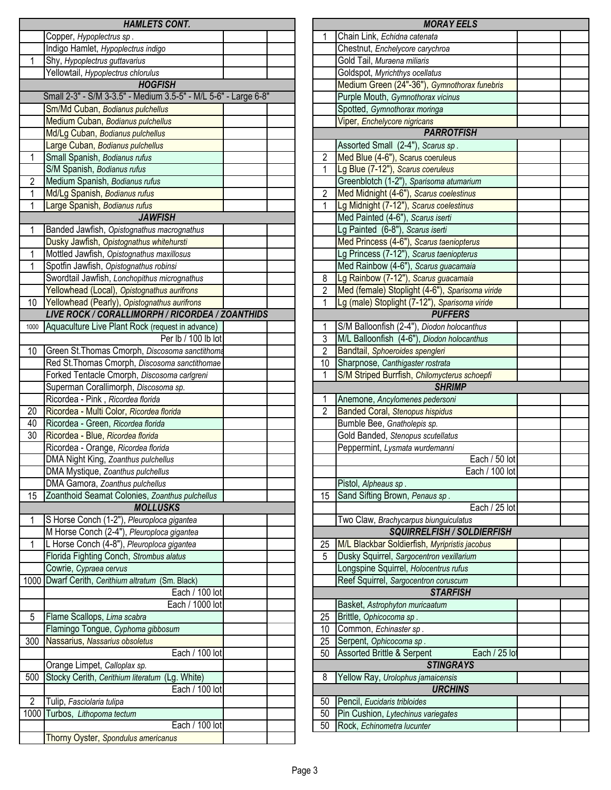|                 | <b>HAMLETS CONT.</b>                                                |                       | <b>MORAY EELS</b>                                                    |
|-----------------|---------------------------------------------------------------------|-----------------------|----------------------------------------------------------------------|
|                 | Copper, Hypoplectrus sp.                                            |                       | Chain Link, Echidna catenata                                         |
|                 | Indigo Hamlet, Hypoplectrus indigo                                  |                       | Chestnut, Enchelycore carychroa                                      |
| 1               | Shy, Hypoplectrus guttavarius                                       |                       | Gold Tail, Muraena miliaris                                          |
|                 | Yellowtail, Hypoplectrus chlorulus                                  |                       | Goldspot, Myrichthys ocellatus                                       |
|                 | <b>HOGFISH</b>                                                      |                       | Medium Green (24"-36"), Gymnothorax funebris                         |
|                 | Small 2-3" - S/M 3-3.5" - Medium 3.5-5" - M/L 5-6" - Large 6-8"     |                       | Purple Mouth, Gymnothorax vicinus                                    |
|                 | Sm/Md Cuban, Bodianus pulchellus                                    |                       | Spotted, Gymnothorax moringa                                         |
|                 | Medium Cuban, Bodianus pulchellus                                   |                       | Viper, Enchelycore nigricans                                         |
|                 | Md/Lg Cuban, Bodianus pulchellus                                    |                       | <b>PARROTFISH</b>                                                    |
|                 | Large Cuban, Bodianus pulchellus                                    |                       | Assorted Small (2-4"), Scarus sp.                                    |
| 1               | Small Spanish, Bodianus rufus                                       | $\overline{2}$        | Med Blue (4-6"), Scarus coeruleus                                    |
|                 | S/M Spanish, Bodianus rufus                                         | 1                     | Lg Blue (7-12"), Scarus coeruleus                                    |
| $\overline{c}$  | Medium Spanish, Bodianus rufus                                      |                       | Greenblotch (1-2"), Sparisoma atumarium                              |
| 1               | Md/Lg Spanish, Bodianus rufus                                       | $\overline{2}$        | Med Midnight (4-6"), Scarus coelestinus                              |
| 1               | Large Spanish, Bodianus rufus                                       | 1                     | Lg Midnight (7-12"), Scarus coelestinus                              |
|                 | <b>JAWFISH</b>                                                      |                       | Med Painted (4-6"), Scarus iserti                                    |
| 1               | Banded Jawfish, Opistognathus macrognathus                          |                       | Lg Painted (6-8"), Scarus iserti                                     |
|                 | Dusky Jawfish, Opistognathus whitehursti                            |                       | Med Princess (4-6"), Scarus taeniopterus                             |
| 1               | Mottled Jawfish, Opistognathus maxillosus                           |                       | Lg Princess (7-12"), Scarus taeniopterus                             |
| 1               | Spotfin Jawfish, Opistognathus robinsi                              |                       | Med Rainbow (4-6"), Scarus guacamaia                                 |
|                 | Swordtail Jawfish, Lonchopithus micrognathus                        | 8                     | Lg Rainbow (7-12"), Scarus guacamaia                                 |
|                 | Yellowhead (Local), Opistognathus aurifrons                         | $\overline{2}$        | Med (female) Stoplight (4-6"), Sparisoma viride                      |
| 10 <sup>1</sup> | Yellowhead (Pearly), Opistognathus aurifrons                        | 1                     | Lg (male) Stoplight (7-12"), Sparisoma viride                        |
|                 | LIVE ROCK / CORALLIMORPH / RICORDEA / ZOANTHIDS                     |                       | <b>PUFFERS</b>                                                       |
| 1000            | Aquaculture Live Plant Rock (request in advance)                    | 1                     | S/M Balloonfish (2-4"), Diodon holocanthus                           |
|                 | Per lb / 100 lb lot                                                 | 3                     | M/L Balloonfish (4-6"), Diodon holocanthus                           |
| 10              | Green St. Thomas Cmorph, Discosoma sanctithoma                      | $\overline{2}$        | Bandtail, Sphoeroides spengleri                                      |
|                 | Red St. Thomas Cmorph, Discosoma sanctithomae                       | 10                    | Sharpnose, Canthigaster rostrata                                     |
|                 | Forked Tentacle Cmorph, Discosoma carlgreni                         | 1                     | S/M Striped Burrfish, Chilomycterus schoepfi                         |
|                 | Superman Corallimorph, Discosoma sp.                                |                       | <b>SHRIMP</b>                                                        |
|                 | Ricordea - Pink, Ricordea florida                                   | 1                     | Anemone, Ancylomenes pedersoni                                       |
| 20              | Ricordea - Multi Color, Ricordea florida                            | 2                     | <b>Banded Coral, Stenopus hispidus</b>                               |
|                 |                                                                     |                       |                                                                      |
| 40              | Ricordea - Green, Ricordea florida                                  |                       | Bumble Bee, Gnatholepis sp.                                          |
| 30              | Ricordea - Blue, Ricordea florida                                   |                       | Gold Banded, Stenopus scutellatus                                    |
|                 | Ricordea - Orange, Ricordea florida                                 |                       | Peppermint, Lysmata wurdemanni                                       |
|                 | DMA Night King, Zoanthus pulchellus                                 |                       | Each / 50 k                                                          |
|                 | DMA Mystique, Zoanthus pulchellus                                   |                       | Each / 100 lo                                                        |
|                 | DMA Gamora, Zoanthus pulchellus                                     |                       | Pistol, Alpheaus sp.                                                 |
| 15              | Zoanthoid Seamat Colonies, Zoanthus pulchellus                      | 15                    | Sand Sifting Brown, Penaus sp.                                       |
|                 | <b>MOLLUSKS</b>                                                     |                       |                                                                      |
| 1               | S Horse Conch (1-2"), Pleuroploca gigantea                          |                       | Two Claw, Brachycarpus biunguiculatus                                |
|                 | M Horse Conch (2-4"), Pleuroploca gigantea                          |                       |                                                                      |
| 1               | L Horse Conch (4-8"), Pleuroploca gigantea                          | 25                    | M/L Blackbar Soldierfish, Myripristis jacobus                        |
|                 | Florida Fighting Conch, Strombus alatus                             | 5                     | Dusky Squirrel, Sargocentron vexillarium                             |
|                 | Cowrie, Cypraea cervus                                              |                       | Longspine Squirrel, Holocentrus rufus                                |
|                 | 1000 Dwarf Cerith, Cerithium altratum (Sm. Black)                   |                       | Reef Squirrel, Sargocentron coruscum                                 |
|                 | Each / 100 lot                                                      |                       | <b>STARFISH</b>                                                      |
|                 | Each / 1000 lot                                                     |                       | Basket, Astrophyton muricaatum                                       |
| 5               | Flame Scallops, Lima scabra                                         | 25                    | Each / 25 k<br>SQUIRRELFISH / SOLDIERFISH<br>Brittle, Ophicocoma sp. |
| 300             | Flamingo Tongue, Cyphoma gibbosum<br>Nassarius, Nassarius obsoletus | 10<br>$\overline{25}$ | Common, Echinaster sp.                                               |
|                 | Each / 100 lot                                                      | 50                    | Serpent, Ophicocoma sp.                                              |
|                 | Orange Limpet, Calloplax sp.                                        |                       | Assorted Brittle & Serpent<br><b>STINGRAYS</b>                       |
| 500             | (Lg. White)<br>Stocky Cerith, Cerithium literatum                   | 8                     | Yellow Ray, Urolophus jamaicensis                                    |
|                 | Each / 100 lot                                                      |                       | <b>URCHINS</b>                                                       |
| 2               | Tulip, Fasciolaria tulipa                                           | 50                    | Pencil, Eucidaris tribloides                                         |
|                 | 1000 Turbos, Lithopoma tectum                                       | 50                    | Each / 25 I<br>Pin Cushion, Lytechinus variegates                    |
|                 | Each / 100 lot<br>Thorny Oyster, Spondulus americanus               | 50                    | Rock, Echinometra lucunter                                           |

| <b>MORAY EELS</b>                            |                                                                       |  |  |  |  |
|----------------------------------------------|-----------------------------------------------------------------------|--|--|--|--|
| 1                                            | Chain Link, Echidna catenata                                          |  |  |  |  |
|                                              | Chestnut, Enchelycore carychroa                                       |  |  |  |  |
|                                              | Gold Tail, Muraena miliaris                                           |  |  |  |  |
|                                              | Goldspot, Myrichthys ocellatus                                        |  |  |  |  |
|                                              | Medium Green (24"-36"), Gymnothorax funebris                          |  |  |  |  |
|                                              | Purple Mouth, Gymnothorax vicinus                                     |  |  |  |  |
|                                              | Spotted, Gymnothorax moringa                                          |  |  |  |  |
|                                              | Viper, Enchelycore nigricans                                          |  |  |  |  |
|                                              | <b>PARROTFISH</b>                                                     |  |  |  |  |
|                                              | Assorted Small (2-4"), Scarus sp.                                     |  |  |  |  |
| $\overline{2}$                               | Med Blue (4-6"), Scarus coeruleus                                     |  |  |  |  |
| $\overline{1}$                               | Lg Blue (7-12"), Scarus coeruleus                                     |  |  |  |  |
|                                              | Greenblotch (1-2"), Sparisoma atumarium                               |  |  |  |  |
| $\overline{2}$                               | Med Midnight (4-6"), Scarus coelestinus                               |  |  |  |  |
| $\overline{1}$                               | Lg Midnight (7-12"), Scarus coelestinus                               |  |  |  |  |
|                                              | Med Painted (4-6"), Scarus iserti                                     |  |  |  |  |
|                                              | Lg Painted (6-8"), Scarus iserti                                      |  |  |  |  |
|                                              | Med Princess (4-6"), Scarus taeniopterus                              |  |  |  |  |
|                                              | Lg Princess (7-12"), Scarus taeniopterus                              |  |  |  |  |
|                                              | Med Rainbow (4-6"), Scarus guacamaia                                  |  |  |  |  |
| 8                                            | Lg Rainbow (7-12"), Scarus guacamaia                                  |  |  |  |  |
| $\overline{2}$                               | Med (female) Stoplight (4-6"), Sparisoma viride                       |  |  |  |  |
| 1                                            | Lg (male) Stoplight (7-12"), Sparisoma viride                         |  |  |  |  |
|                                              | <b>PUFFERS</b>                                                        |  |  |  |  |
| 1                                            | S/M Balloonfish (2-4"), Diodon holocanthus                            |  |  |  |  |
| $\overline{3}$                               | M/L Balloonfish (4-6"), Diodon holocanthus                            |  |  |  |  |
| $\overline{2}$                               | Bandtail, Sphoeroides spengleri                                       |  |  |  |  |
| 10                                           | Sharpnose, Canthigaster rostrata                                      |  |  |  |  |
| 1                                            |                                                                       |  |  |  |  |
| S/M Striped Burrfish, Chilomycterus schoepfi |                                                                       |  |  |  |  |
|                                              |                                                                       |  |  |  |  |
|                                              | <b>SHRIMP</b>                                                         |  |  |  |  |
| 1                                            | Anemone, Ancylomenes pedersoni                                        |  |  |  |  |
| $\overline{2}$                               | <b>Banded Coral, Stenopus hispidus</b>                                |  |  |  |  |
|                                              | Bumble Bee, Gnatholepis sp.                                           |  |  |  |  |
|                                              | Gold Banded, Stenopus scutellatus                                     |  |  |  |  |
|                                              | Peppermint, Lysmata wurdemanni                                        |  |  |  |  |
|                                              | Each / 50 lot                                                         |  |  |  |  |
|                                              | Each / 100 lot                                                        |  |  |  |  |
|                                              | Pistol, Alpheaus sp.                                                  |  |  |  |  |
| 15                                           | Sand Sifting Brown, Penaus sp.                                        |  |  |  |  |
|                                              | Each / 25 lot                                                         |  |  |  |  |
|                                              | Two Claw, Brachycarpus biunguiculatus                                 |  |  |  |  |
|                                              | <b>SQUIRRELFISH / SOLDIERFISH</b>                                     |  |  |  |  |
| 25<br>5                                      | M/L Blackbar Soldierfish, Myripristis jacobus                         |  |  |  |  |
|                                              | Dusky Squirrel, Sargocentron vexillarium                              |  |  |  |  |
|                                              | Longspine Squirrel, Holocentrus rufus                                 |  |  |  |  |
|                                              | Reef Squirrel, Sargocentron coruscum                                  |  |  |  |  |
|                                              | <b>STARFISH</b>                                                       |  |  |  |  |
|                                              | Basket, Astrophyton muricaatum                                        |  |  |  |  |
| 25<br>10                                     | Brittle, Ophicocoma sp.                                               |  |  |  |  |
| 25                                           | Common, Echinaster sp.                                                |  |  |  |  |
| 50                                           | Serpent, Ophicocoma sp.<br>Assorted Brittle & Serpent<br>Each / 25 lo |  |  |  |  |
|                                              | <b>STINGRAYS</b>                                                      |  |  |  |  |
| 8                                            | Yellow Ray, Urolophus jamaicensis                                     |  |  |  |  |
|                                              | <b>URCHINS</b>                                                        |  |  |  |  |
| 50                                           | Pencil, Eucidaris tribloides                                          |  |  |  |  |
| 50                                           | Pin Cushion, Lytechinus variegates                                    |  |  |  |  |
| 50                                           | Rock, Echinometra lucunter                                            |  |  |  |  |